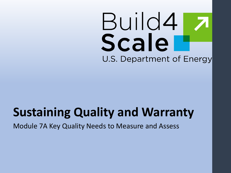# Build4 Scale U.S. Department of Energy

# **Sustaining Quality and Warranty**

Module 7A Key Quality Needs to Measure and Assess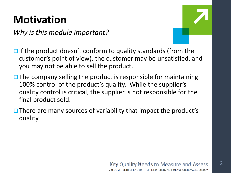### **Motivation**

*Why is this module important?*



 $\Box$  If the product doesn't conform to quality standards (from the customer's point of view), the customer may be unsatisfied, and you may not be able to sell the product.

- $\Box$  The company selling the product is responsible for maintaining 100% control of the product's quality. While the supplier's quality control is critical, the supplier is not responsible for the final product sold.
- $\Box$  There are many sources of variability that impact the product's quality.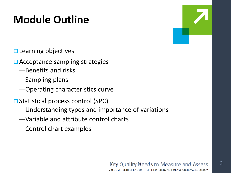### **Module Outline**

 $\square$  Learning objectives

- **□ Acceptance sampling strategies** 
	- —Benefits and risks
	- —Sampling plans
	- —Operating characteristics curve
- **□ Statistical process control (SPC)** 
	- —Understanding types and importance of variations
	- —Variable and attribute control charts
	- —Control chart examples

# **Key Quality Needs to Measure and Assess**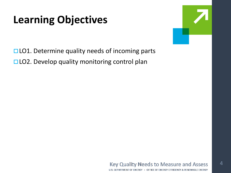### **Learning Objectives**



4

 $\Box$  LO1. Determine quality needs of incoming parts □LO2. Develop quality monitoring control plan

#### **Key Quality Needs to Measure and Assess** U.S. DEPARTMENT OF ENERGY . OFFICE OF ENERGY EFFICIENCY & RENEWABLE ENERGY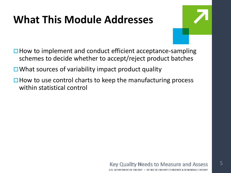### **What This Module Addresses**



- $\Box$  How to implement and conduct efficient acceptance-sampling schemes to decide whether to accept/reject product batches
- $\Box$  What sources of variability impact product quality
- $\Box$  How to use control charts to keep the manufacturing process within statistical control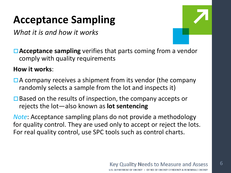*What it is and how it works*

6

**□ Acceptance sampling** verifies that parts coming from a vendor comply with quality requirements

**How it works**:

- $\Box$  A company receives a shipment from its vendor (the company randomly selects a sample from the lot and inspects it)
- $\Box$  Based on the results of inspection, the company accepts or rejects the lot—also known as **lot sentencing**

*Note*: Acceptance sampling plans do not provide a methodology for quality control. They are used only to accept or reject the lots. For real quality control, use SPC tools such as control charts.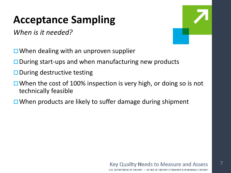*When is it needed?*



- $\Box$  When dealing with an unproven supplier
- $\square$  During start-ups and when manufacturing new products
- $\square$  During destructive testing
- $\Box$  When the cost of 100% inspection is very high, or doing so is not technically feasible
- $\Box$  When products are likely to suffer damage during shipment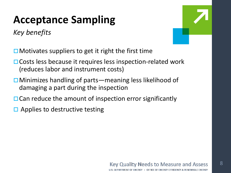*Key benefits*

8

 $\Box$  Motivates suppliers to get it right the first time

- □ Costs less because it requires less inspection-related work (reduces labor and instrument costs)
- **□ Minimizes handling of parts—meaning less likelihood of** damaging a part during the inspection
- $\Box$  Can reduce the amount of inspection error significantly
- $\Box$  Applies to destructive testing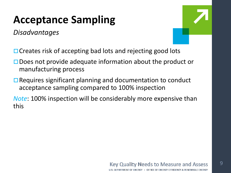*Disadvantages*



- $\Box$  Creates risk of accepting bad lots and rejecting good lots
- □ Does not provide adequate information about the product or manufacturing process
- $\Box$  Requires significant planning and documentation to conduct acceptance sampling compared to 100% inspection
- *Note*: 100% inspection will be considerably more expensive than this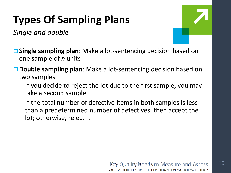# **Types Of Sampling Plans**

*Single and double*



- **Single sampling plan**: Make a lot-sentencing decision based on one sample of *n* units
- **Double sampling plan**: Make a lot-sentencing decision based on two samples
	- —If you decide to reject the lot due to the first sample, you may take a second sample
	- —If the total number of defective items in both samples is less than a predetermined number of defectives, then accept the lot; otherwise, reject it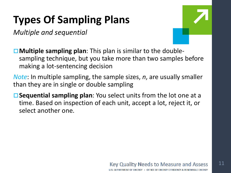## **Types Of Sampling Plans**

*Multiple and sequential*



11

**Multiple sampling plan**: This plan is similar to the doublesampling technique, but you take more than two samples before making a lot-sentencing decision

*Note*: In multiple sampling, the sample sizes, *n*, are usually smaller than they are in single or double sampling

**Sequential sampling plan**: You select units from the lot one at a time. Based on inspection of each unit, accept a lot, reject it, or select another one.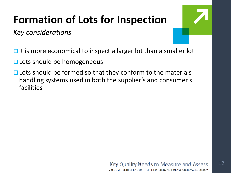### **Formation of Lots for Inspection**

*Key considerations*

 $\Box$  It is more economical to inspect a larger lot than a smaller lot

- $\square$  Lots should be homogeneous
- $\Box$  Lots should be formed so that they conform to the materialshandling systems used in both the supplier's and consumer's facilities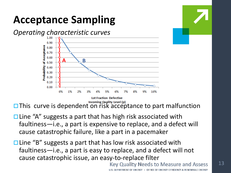

This curve is dependent on risk acceptance to part malfunction

- $\Box$  Line "A" suggests a part that has high risk associated with faultiness—i.e., a part is expensive to replace, and a defect will cause catastrophic failure, like a part in a pacemaker
- $\square$  Line "B" suggests a part that has low risk associated with faultiness—i.e., a part is easy to replace, and a defect will not cause catastrophic issue, an easy-to-replace filter

**Key Quality Needs to Measure and Assess** 

OFFICE OF ENERGY EFFICIENCY & RENEWABLE ENERGY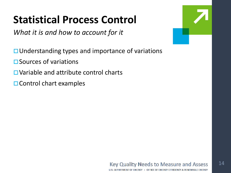### **Statistical Process Control**

*What it is and how to account for it*

- $\Box$  Understanding types and importance of variations
- $\square$  Sources of variations
- **□ Variable and attribute control charts**
- $\Box$  Control chart examples



14

#### **Key Quality Needs to Measure and Assess** U.S. DEPARTMENT OF ENERGY . OFFICE OF ENERGY EFFICIENCY & RENEWABLE ENERGY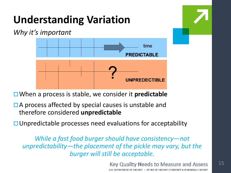# **Understanding Variation**

*Why it's important*



When a process is stable, we consider it **predictable**

 $\Box$  A process affected by special causes is unstable and therefore considered **unpredictable**

 $\Box$  Unpredictable processes need evaluations for acceptability

*While a fast food burger should have consistency—not unpredictability—the placement of the pickle may vary, but the burger will still be acceptable.*

> **Key Quality Needs to Measure and Assess** U.S. DEPARTMENT OF ENERGY . OFFICE OF ENERGY EFFICIENCY & RENEWABLE ENERGY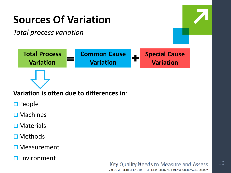

U.S. DEPARTMENT OF ENERGY . OFFICE OF ENERGY EFFICIENCY & RENEWABLE ENERGY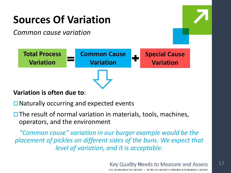

 $\Box$  Naturally occurring and expected events

 $\square$  The result of normal variation in materials, tools, machines, operators, and the environment

*"Common cause" variation in our burger example would be the placement of pickles on different sides of the buns. We expect that level of variation, and it is acceptable.*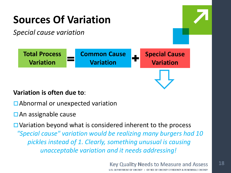

#### **Variation is often due to**:

- □ Abnormal or unexpected variation
- $\Box$  An assignable cause

 $\Box$  Variation beyond what is considered inherent to the process *"Special cause" variation would be realizing many burgers had 10 pickles instead of 1. Clearly, something unusual is causing unacceptable variation and it needs addressing!*

> **Key Quality Needs to Measure and Assess** U.S. DEPARTMENT OF ENERGY . OFFICE OF ENERGY EFFICIENCY & RENEWABLE ENERGY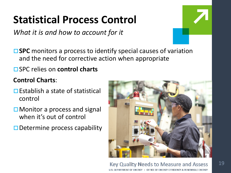### **Statistical Process Control**

*What it is and how to account for it*

**□ SPC** monitors a process to identify special causes of variation and the need for corrective action when appropriate

### SPC relies on **control charts**

### **Control Charts**:

- $\square$  Establish a state of statistical control
- □ Monitor a process and signal when it's out of control
- $\Box$  Determine process capability



#### **Key Quality Needs to Measure and Assess** U.S. DEPARTMENT OF ENERGY . OFFICE OF ENERGY EFFICIENCY & RENEWABLE ENERGY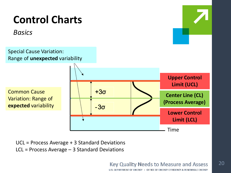### **Control Charts**

*Basics*

Special Cause Variation: Range of **unexpected** variability

Common Cause Variation: Range of **expected** variability



UCL = Process Average + 3 Standard Deviations LCL = Process Average – 3 Standard Deviations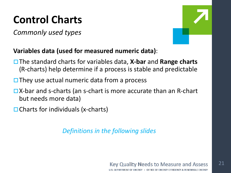### **Control Charts**

*Commonly used types*



### **Variables data (used for measured numeric data)**:

- The standard charts for variables data, **X-bar** and **Range charts**  (R-charts) help determine if a process is stable and predictable
- $\Box$  They use actual numeric data from a process
- **□X-bar and s-charts (an s-chart is more accurate than an R-chart** but needs more data)
- $\Box$  Charts for individuals (x-charts)

*Definitions in the following slides*

**Key Quality Needs to Measure and Assess** U.S. DEPARTMENT OF ENERGY . OFFICE OF ENERGY EFFICIENCY & RENEWABLE ENERGY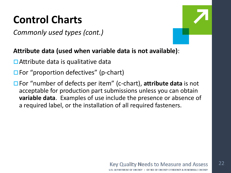### **Control Charts**

*Commonly used types (cont.)*



### **Attribute data (used when variable data is not available)**:

- $\Box$  Attribute data is qualitative data
- $\Box$  For "proportion defectives" (p-chart)
- For "number of defects per item" (c-chart), **attribute data** is not acceptable for production part submissions unless you can obtain **variable data**. Examples of use include the presence or absence of a required label, or the installation of all required fasteners.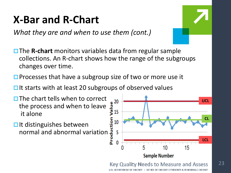### **X-Bar and R-Chart**

*What they are and when to use them (cont.)*

- **□ The R-chart** monitors variables data from regular sample collections. An R-chart shows how the range of the subgroups changes over time.
- $\square$  Processes that have a subgroup size of two or more use it
- $\Box$  It starts with at least 20 subgroups of observed values
- $\Box$  The chart tells when to correct the process and when to leave it alone
- $\Box$  It distinguishes between normal and abnormal variation



#### **Key Quality Needs to Measure and Assess**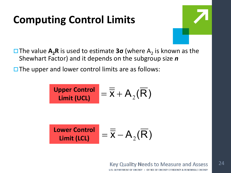### **Computing Control Limits**



**□The value A<sub>2</sub>R** is used to estimate **3σ** (where A<sub>2</sub> is known as the Shewhart Factor) and it depends on the subgroup size *n*

 $\square$  The upper and lower control limits are as follows:

| Upper Control | $=$            | $\overline{X}$                 | $\overline{A}_2(\overline{R})$ |
|---------------|----------------|--------------------------------|--------------------------------|
| Limit (UCL)   | $\overline{X}$ | $\overline{A}_2(\overline{R})$ |                                |

| Lower Control | $=$ | $\overline{X}$ | $A_2(\overline{R})$ |
|---------------|-----|----------------|---------------------|
|---------------|-----|----------------|---------------------|

**Key Quality Needs to Measure and Assess**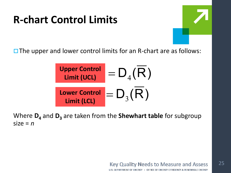### **R-chart Control Limits**



 $\square$  The upper and lower control limits for an R-chart are as follows:



Where  $D_4$  and  $D_3$  are taken from the **Shewhart table** for subgroup  $size = n$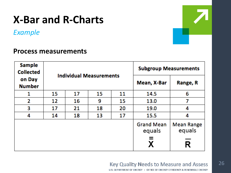### **X-Bar and R-Charts**

*Example*

26

### **Process measurements**

| <b>Sample</b><br><b>Collected</b> |    |                                |    | <b>Subgroup Measurements</b> |                             |                             |  |
|-----------------------------------|----|--------------------------------|----|------------------------------|-----------------------------|-----------------------------|--|
| on Day<br><b>Number</b>           |    | <b>Individual Measurements</b> |    | Mean, X-Bar                  | Range, R                    |                             |  |
| 1                                 | 15 | 17                             | 15 | 11                           | 14.5                        | 6                           |  |
| 2                                 | 12 | 16                             | 9  | 15                           | 13.0                        | 7                           |  |
| 3                                 | 17 | 21                             | 18 | 20                           | 19.0                        | 4                           |  |
| 4                                 | 14 | 13<br>17<br>18                 |    | 15.5                         | 4                           |                             |  |
|                                   |    |                                |    |                              | <b>Grand Mean</b><br>equals | <b>Mean Range</b><br>equals |  |
|                                   |    |                                |    |                              | =                           | R                           |  |

#### **Key Quality Needs to Measure and Assess**

U.S. DEPARTMENT OF ENERGY . OFFICE OF ENERGY EFFICIENCY & RENEWABLE ENERGY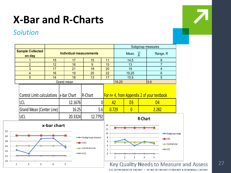### **X-Bar and R-Charts**

### *Solution*



| __ |  |
|----|--|
|    |  |

U.S. DEPARTMENT OF ENERGY . OFFICE OF ENERGY EFFICIENCY & RENEWABLE ENERGY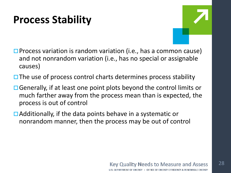### **Process Stability**

- 
- $\square$  Process variation is random variation (i.e., has a common cause) and not nonrandom variation (i.e., has no special or assignable causes)
- $\Box$  The use of process control charts determines process stability
- $\Box$  Generally, if at least one point plots beyond the control limits or much farther away from the process mean than is expected, the process is out of control
- $\Box$  Additionally, if the data points behave in a systematic or nonrandom manner, then the process may be out of control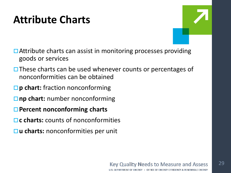### **Attribute Charts**

- $\Box$  Attribute charts can assist in monitoring processes providing goods or services
- $\Box$  These charts can be used whenever counts or percentages of nonconformities can be obtained
- **□ p chart:** fraction nonconforming
- **□** np chart: number nonconforming
- **Percent nonconforming charts**
- **□ c charts:** counts of nonconformities
- **u charts:** nonconformities per unit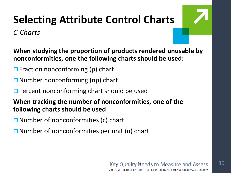# **Selecting Attribute Control Charts**

*C-Charts*

**When studying the proportion of products rendered unusable by nonconformities, one the following charts should be used**:

- $\Box$  Fraction nonconforming (p) chart
- $\Box$  Number nonconforming (np) chart
- $\Box$  Percent nonconforming chart should be used
- **When tracking the number of nonconformities, one of the following charts should be used**:
- $\Box$  Number of nonconformities (c) chart
- $\Box$  Number of nonconformities per unit (u) chart

#### **Key Quality Needs to Measure and Assess** U.S. DEPARTMENT OF ENERGY . OFFICE OF ENERGY EFFICIENCY & RENEWABLE ENERGY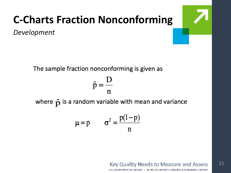*Development*

The sample fraction nonconforming is given as

$$
\hat{\mathsf{p}} = \frac{\mathsf{D}}{\mathsf{n}}
$$

where  $\hat{p}$  is a random variable with mean and variance

$$
\mu = p \qquad \sigma^2 = \frac{p(1-p)}{n}
$$

#### **Key Quality Needs to Measure and Assess**

31

**ILS DEPARTMENT OF ENERGY** OFFICE OF ENERGY EFFICIENCY & RENEWABLE ENERGY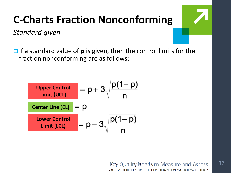*Standard given*

 $\Box$  If a standard value of  $p$  is given, then the control limits for the fraction nonconforming are as follows:

| Upper Control    | =           | $p + 3 \sqrt{\frac{p(1-p)}{n}}$ |                                 |
|------------------|-------------|---------------------------------|---------------------------------|
| Center Line (CL) | =           | $p$                             |                                 |
| Lower Control    | Limit (LCL) | =                               | $p - 3 \sqrt{\frac{p(1-p)}{n}}$ |

**Key Quality Needs to Measure and Assess**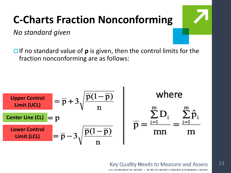*No standard given*

 $\Box$  If no standard value of **p** is given, then the control limits for the fraction nonconforming are as follows:

 $\blacksquare$ 

| Upper Control    | = | $\overline{p} + 3\sqrt{\frac{\overline{p}(1-\overline{p})}{n}}$ | Where                                                                               |                            |
|------------------|---|-----------------------------------------------------------------|-------------------------------------------------------------------------------------|----------------------------|
| Center Line (CL) | = | $p$                                                             | $\sum_{i=1}^{m} D_i$                                                                | $\sum_{i=1}^{m} \hat{p}_i$ |
| Lower Control    | = | $\overline{p} - 3\sqrt{\frac{\overline{p}(1-\overline{p})}{n}}$ | $\overline{p} = \frac{\sum_{i=1}^{m} D_i}{mn} = \frac{\sum_{i=1}^{m} \hat{p}_i}{m}$ |                            |

#### **Key Quality Needs to Measure and Assess**

U.S. DEPARTMENT OF ENERGY . OFFICE OF ENERGY EFFICIENCY & RENEWABLE ENERGY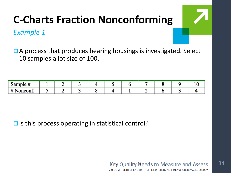### *Example 1*

□ A process that produces bearing housings is investigated. Select 10 samples a lot size of 100.

| Sample #          |  |  |  |  |  |
|-------------------|--|--|--|--|--|
| $\sqrt{2}$ oncom. |  |  |  |  |  |

 $\square$  Is this process operating in statistical control?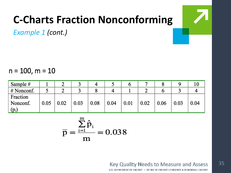*Example 1 (cont.)*

 $n = 100$ ,  $m = 10$ 

| Sample #   |      |      |      |      |      | U    |      |      |      | ΙV   |
|------------|------|------|------|------|------|------|------|------|------|------|
| # Nonconf. |      |      |      |      | 4    |      | ∽    |      |      |      |
| Fraction   |      |      |      |      |      |      |      |      |      |      |
| Nonconf.   | 0.05 | 0.02 | 0.03 | 0.08 | 0.04 | 0.01 | 0.02 | 0.06 | 0.03 | 0.04 |
| $(p_i)$    |      |      |      |      |      |      |      |      |      |      |

$$
\overline{p} = \frac{\sum_{i=1}^{m} \hat{p}_i}{m} = 0.038
$$

**Key Quality Needs to Measure and Assess** 

U.S. DEPARTMENT OF ENERGY . OFFICE OF ENERGY EFFICIENCY & RENEWABLE ENERGY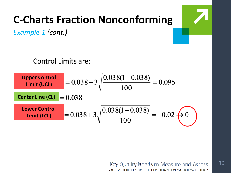*Example 1 (cont.)*

**Control Limits are:** 



#### **Key Quality Needs to Measure and Assess ILS DEPARTMENT OF ENERGY** OFFICE OF ENERGY EFFICIENCY & RENEWABLE ENERGY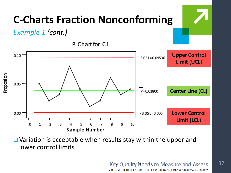

 $\Box$  Variation is acceptable when results stay within the upper and lower control limits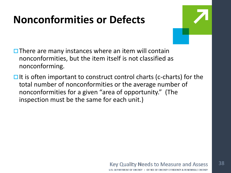### **Nonconformities or Defects**



- $\Box$  There are many instances where an item will contain nonconformities, but the item itself is not classified as nonconforming.
- $\Box$  It is often important to construct control charts (c-charts) for the total number of nonconformities or the average number of nonconformities for a given "area of opportunity." (The inspection must be the same for each unit.)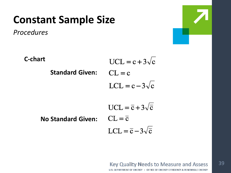### **Constant Sample Size**

*Procedures*





#### **Key Quality Needs to Measure and Assess** U.S. DEPARTMENT OF ENERGY . OFFICE OF ENERGY EFFICIENCY & RENEWABLE ENERGY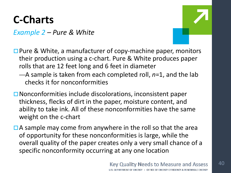### **C-Charts**

*Example 2 – Pure & White*



- $\square$  Pure & White, a manufacturer of copy-machine paper, monitors their production using a c-chart. Pure & White produces paper rolls that are 12 feet long and 6 feet in diameter
	- —A sample is taken from each completed roll, *n*=1, and the lab checks it for nonconformities
- $\Box$  Nonconformities include discolorations, inconsistent paper thickness, flecks of dirt in the paper, moisture content, and ability to take ink. All of these nonconformities have the same weight on the c-chart
- $\Box$  A sample may come from anywhere in the roll so that the area of opportunity for these nonconformities is large, while the overall quality of the paper creates only a very small chance of a specific nonconformity occurring at any one location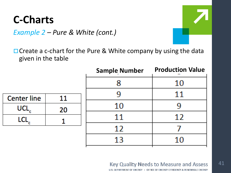### **C-Charts**



 $\Box$  Create a c-chart for the Pure & White company by using the data given in the table

|                    |    | <b>Sample Number</b> | <b>Production Value</b> |
|--------------------|----|----------------------|-------------------------|
|                    |    | X                    | 10                      |
| <b>Center line</b> | 11 |                      | $\bf{11}$               |
| <b>UCL</b>         | 20 | 10                   | 9                       |
|                    |    | 11                   | 12                      |
|                    |    | 12                   |                         |
|                    |    | 13                   | 10                      |
|                    |    |                      |                         |

#### **Key Quality Needs to Measure and Assess**

41

U.S. DEPARTMENT OF ENERGY . OFFICE OF ENERGY EFFICIENCY & RENEWABLE ENERGY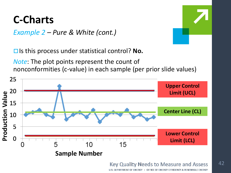### **C-Charts**

*Example 2 – Pure & White (cont.)*

**□** Is this process under statistical control? **No.** 

*Note*: The plot points represent the count of nonconformities (c-value) in each sample (per prior slide values)



ENERGY EFFICIENCY & RENEWABLE ENERGY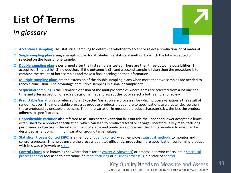# **List Of Terms**

### *In glossary*



43

- **[Acceptance sampling](https://en.wikipedia.org/wiki/Acceptance_sampling)** uses statistical sampling to determine whether to accept or reject a production lot of material.
- **[Single sampling plan](http://www.itl.nist.gov/div898/handbook/pmc/section2/pmc22.htm)** a single sampling plan for attributes is a statistical method by which the lot is accepted or rejected on the basis of one sample.
- **[Double sampling plan](http://wps.prenhall.com/wps/media/objects/7117/7288732/65767_28_SuppG.pdf)** is performed after the first sample is tested. There are then three outcome possibilities: 1) accept lot, 2) reject lot, 3) no decision. If the outcome is (3), and a second sample is taken then the procedure is to combine the results of both samples and make a final deciding on that information.
- **[Multiple sampling plans](http://wps.prenhall.com/wps/media/objects/7117/7288732/65767_28_SuppG.pdf)** are the extension of the double sampling plans when more than two samples are needed to reach a conclusion. The advantage of multiple sampling is a smaller sample size.
- **[Sequential sampling](http://wps.prenhall.com/wps/media/objects/7117/7288732/65767_28_SuppG.pdf)** is the ultimate extension of the multiple samples where items are selected from a lot one at a time and after inspection of each a decision is made to accept the lot or select a both sample to review.
- **[Predictable Variation](http://smallbusiness.chron.com/importance-variation-manufacturing-36996.html)** also referred to as **Expected Variation** are processes for which process variation is the result of random causes. The more stable processes produce products that adhere to specifications to a greater degree than those produced by unstable processes. The more variation in measured product characteristics, the less the product adheres to specifications,
- **[Unpredictable Variation](http://smallbusiness.chron.com/importance-variation-manufacturing-36996.html)** also referred to as **Unexpected Variation** falls outside the upper and lower acceptable limits established for a product specification, which can lead to product discard or salvage. Therefore, a key manufacturing performance objective is the establishment of stable and predictable processes that limits variation to what can be described as random, minimum variation around target values.
- **[Statistical Process Control \(SPC\)](https://en.wikipedia.org/wiki/Statistical_process_control)** is a method of [quality control](https://en.wikipedia.org/wiki/Quality_control) which employs [statistical methods](https://en.wikipedia.org/wiki/Statistics) to monitor and control a process. This helps ensure the process operates efficiently, producing more specification-conforming product with less waste (rework or [scrap](https://en.wikipedia.org/wiki/Scrap)).
- **[Control Charts](https://en.wikipedia.org/wiki/Control_chart)** also known as Shewhart charts (after [Walter A. Shewhart](https://en.wikipedia.org/wiki/Walter_A._Shewhart)) or process-behavior charts, are a statistical process control [tool used to determine if a](https://en.wikipedia.org/wiki/Statistical_process_control) [manufacturing](https://en.wikipedia.org/wiki/Manufacturing_process_management) or [business process](https://en.wikipedia.org/wiki/Business_process) is in a state of [control.](https://en.wikipedia.org/wiki/Statistical_control)

#### **Key Quality Needs to Measure and Assess**